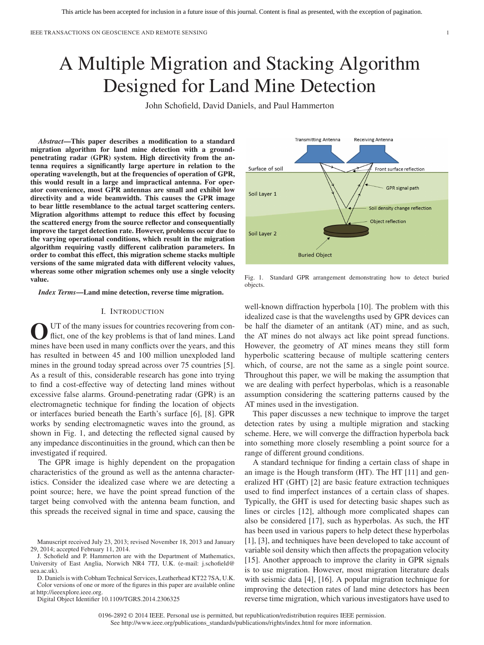# A Multiple Migration and Stacking Algorithm Designed for Land Mine Detection

John Schofield, David Daniels, and Paul Hammerton

*Abstract***—This paper describes a modification to a standard migration algorithm for land mine detection with a groundpenetrating radar (GPR) system. High directivity from the antenna requires a significantly large aperture in relation to the operating wavelength, but at the frequencies of operation of GPR, this would result in a large and impractical antenna. For operator convenience, most GPR antennas are small and exhibit low directivity and a wide beamwidth. This causes the GPR image to bear little resemblance to the actual target scattering centers. Migration algorithms attempt to reduce this effect by focusing the scattered energy from the source reflector and consequentially improve the target detection rate. However, problems occur due to the varying operational conditions, which result in the migration algorithm requiring vastly different calibration parameters. In order to combat this effect, this migration scheme stacks multiple versions of the same migrated data with different velocity values, whereas some other migration schemes only use a single velocity value.**

*Index Terms***—Land mine detection, reverse time migration.**

# I. INTRODUCTION

O UT of the many issues for countries recovering from con-<br>flict, one of the key problems is that of land mines. Land mines have been used in many conflicts over the years, and this has resulted in between 45 and 100 million unexploded land mines in the ground today spread across over 75 countries [5]. As a result of this, considerable research has gone into trying to find a cost-effective way of detecting land mines without excessive false alarms. Ground-penetrating radar (GPR) is an electromagnetic technique for finding the location of objects or interfaces buried beneath the Earth's surface [6], [8]. GPR works by sending electromagnetic waves into the ground, as shown in Fig. 1, and detecting the reflected signal caused by any impedance discontinuities in the ground, which can then be investigated if required.

The GPR image is highly dependent on the propagation characteristics of the ground as well as the antenna characteristics. Consider the idealized case where we are detecting a point source; here, we have the point spread function of the target being convolved with the antenna beam function, and this spreads the received signal in time and space, causing the

D. Daniels is with Cobham Technical Services, Leatherhead KT22 7SA, U.K. Color versions of one or more of the figures in this paper are available online at http://ieeexplore.ieee.org.

Digital Object Identifier 10.1109/TGRS.2014.2306325



Fig. 1. Standard GPR arrangement demonstrating how to detect buried objects.

well-known diffraction hyperbola [10]. The problem with this idealized case is that the wavelengths used by GPR devices can be half the diameter of an antitank (AT) mine, and as such, the AT mines do not always act like point spread functions. However, the geometry of AT mines means they still form hyperbolic scattering because of multiple scattering centers which, of course, are not the same as a single point source. Throughout this paper, we will be making the assumption that we are dealing with perfect hyperbolas, which is a reasonable assumption considering the scattering patterns caused by the AT mines used in the investigation.

This paper discusses a new technique to improve the target detection rates by using a multiple migration and stacking scheme. Here, we will converge the diffraction hyperbola back into something more closely resembling a point source for a range of different ground conditions.

A standard technique for finding a certain class of shape in an image is the Hough transform (HT). The HT [11] and generalized HT (GHT) [2] are basic feature extraction techniques used to find imperfect instances of a certain class of shapes. Typically, the GHT is used for detecting basic shapes such as lines or circles [12], although more complicated shapes can also be considered [17], such as hyperbolas. As such, the HT has been used in various papers to help detect these hyperbolas [1], [3], and techniques have been developed to take account of variable soil density which then affects the propagation velocity [15]. Another approach to improve the clarity in GPR signals is to use migration. However, most migration literature deals with seismic data [4], [16]. A popular migration technique for improving the detection rates of land mine detectors has been reverse time migration, which various investigators have used to

Manuscript received July 23, 2013; revised November 18, 2013 and January 29, 2014; accepted February 11, 2014.

J. Schofield and P. Hammerton are with the Department of Mathematics, University of East Anglia, Norwich NR4 7TJ, U.K. [\(e-mail: j.schofield@](mailto: j.schofield@uea.ac.uk) [uea.ac.uk\).](mailto: j.schofield@uea.ac.uk)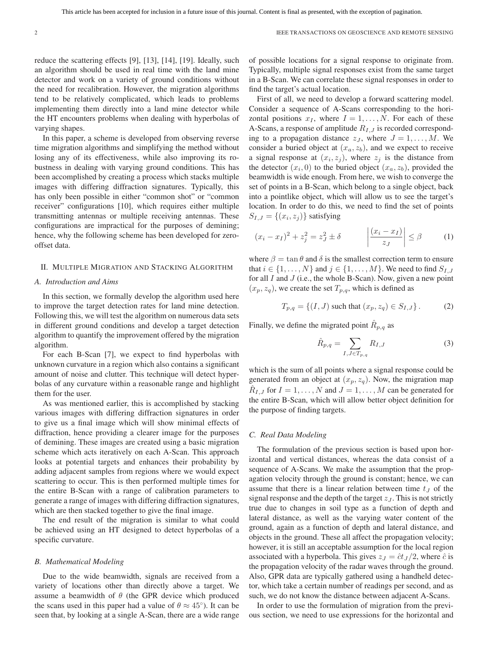reduce the scattering effects [9], [13], [14], [19]. Ideally, such an algorithm should be used in real time with the land mine detector and work on a variety of ground conditions without the need for recalibration. However, the migration algorithms tend to be relatively complicated, which leads to problems implementing them directly into a land mine detector while the HT encounters problems when dealing with hyperbolas of varying shapes.

In this paper, a scheme is developed from observing reverse time migration algorithms and simplifying the method without losing any of its effectiveness, while also improving its robustness in dealing with varying ground conditions. This has been accomplished by creating a process which stacks multiple images with differing diffraction signatures. Typically, this has only been possible in either "common shot" or "common receiver" configurations [10], which requires either multiple transmitting antennas or multiple receiving antennas. These configurations are impractical for the purposes of demining; hence, why the following scheme has been developed for zerooffset data.

## II. MULTIPLE MIGRATION AND STACKING ALGORITHM

# *A. Introduction and Aims*

In this section, we formally develop the algorithm used here to improve the target detection rates for land mine detection. Following this, we will test the algorithm on numerous data sets in different ground conditions and develop a target detection algorithm to quantify the improvement offered by the migration algorithm.

For each B-Scan [7], we expect to find hyperbolas with unknown curvature in a region which also contains a significant amount of noise and clutter. This technique will detect hyperbolas of any curvature within a reasonable range and highlight them for the user.

As was mentioned earlier, this is accomplished by stacking various images with differing diffraction signatures in order to give us a final image which will show minimal effects of diffraction, hence providing a clearer image for the purposes of demining. These images are created using a basic migration scheme which acts iteratively on each A-Scan. This approach looks at potential targets and enhances their probability by adding adjacent samples from regions where we would expect scattering to occur. This is then performed multiple times for the entire B-Scan with a range of calibration parameters to generate a range of images with differing diffraction signatures, which are then stacked together to give the final image.

The end result of the migration is similar to what could be achieved using an HT designed to detect hyperbolas of a specific curvature.

#### *B. Mathematical Modeling*

Due to the wide beamwidth, signals are received from a variety of locations other than directly above a target. We assume a beamwidth of  $\theta$  (the GPR device which produced the scans used in this paper had a value of  $\theta \approx 45^{\circ}$ ). It can be seen that, by looking at a single A-Scan, there are a wide range of possible locations for a signal response to originate from. Typically, multiple signal responses exist from the same target in a B-Scan. We can correlate these signal responses in order to find the target's actual location.

First of all, we need to develop a forward scattering model. Consider a sequence of A-Scans corresponding to the horizontal positions  $x_I$ , where  $I = 1, \ldots, N$ . For each of these A-Scans, a response of amplitude  $R_{I,J}$  is recorded corresponding to a propagation distance  $z_j$ , where  $J = 1, \ldots, M$ . We consider a buried object at  $(x_a, z_b)$ , and we expect to receive a signal response at  $(x_i, z_j)$ , where  $z_j$  is the distance from the detector  $(x_i, 0)$  to the buried object  $(x_a, z_b)$ , provided the beamwidth is wide enough. From here, we wish to converge the set of points in a B-Scan, which belong to a single object, back into a pointlike object, which will allow us to see the target's location. In order to do this, we need to find the set of points  $S_{I,J} = \{(x_i, z_j)\}\$ satisfying

$$
(x_i - x_I)^2 + z_j^2 = z_J^2 \pm \delta \qquad \left| \frac{(x_i - x_I)}{z_J} \right| \le \beta \qquad (1)
$$

where  $\beta = \tan \theta$  and  $\delta$  is the smallest correction term to ensure that  $i \in \{1, \ldots, N\}$  and  $j \in \{1, \ldots, M\}$ . We need to find  $S_{I,J}$ for all  $I$  and  $J$  (i.e., the whole B-Scan). Now, given a new point  $(x_p, z_q)$ , we create the set  $T_{p,q}$ , which is defined as

$$
T_{p,q} = \{(I, J) \text{ such that } (x_p, z_q) \in S_{I,J} \}.
$$
 (2)

Finally, we define the migrated point  $R_{p,q}$  as

$$
\hat{R}_{p,q} = \sum_{I,J \in T_{p,q}} R_{I,J} \tag{3}
$$

which is the sum of all points where a signal response could be generated from an object at  $(x_p, z_q)$ . Now, the migration map  $R_{I,J}$  for  $I = 1, \ldots, N$  and  $J = 1, \ldots, M$  can be generated for the entire B-Scan, which will allow better object definition for the purpose of finding targets.

## *C. Real Data Modeling*

The formulation of the previous section is based upon horizontal and vertical distances, whereas the data consist of a sequence of A-Scans. We make the assumption that the propagation velocity through the ground is constant; hence, we can assume that there is a linear relation between time  $t<sub>J</sub>$  of the signal response and the depth of the target  $z_J$ . This is not strictly true due to changes in soil type as a function of depth and lateral distance, as well as the varying water content of the ground, again as a function of depth and lateral distance, and objects in the ground. These all affect the propagation velocity; however, it is still an acceptable assumption for the local region associated with a hyperbola. This gives  $z_J = \hat{c}t_J/2$ , where  $\hat{c}$  is the propagation velocity of the radar waves through the ground. Also, GPR data are typically gathered using a handheld detector, which take a certain number of readings per second, and as such, we do not know the distance between adjacent A-Scans.

In order to use the formulation of migration from the previous section, we need to use expressions for the horizontal and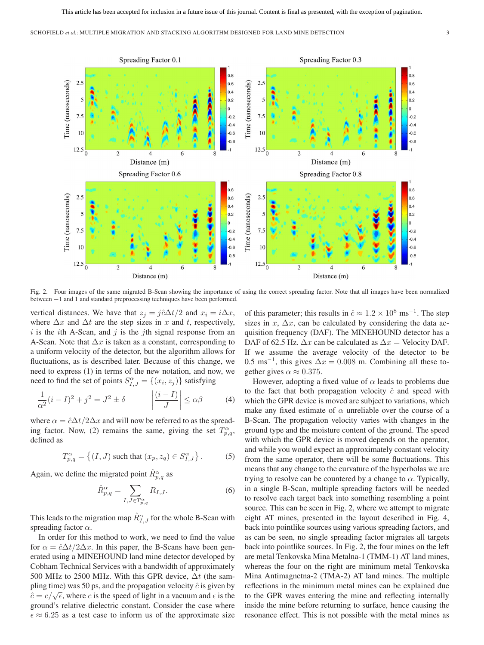

Fig. 2. Four images of the same migrated B-Scan showing the importance of using the correct spreading factor. Note that all images have been normalized between −1 and 1 and standard preprocessing techniques have been performed.

vertical distances. We have that  $z_j = j\hat{c}\Delta t/2$  and  $x_i = i\Delta x$ , where  $\Delta x$  and  $\Delta t$  are the step sizes in x and t, respectively,  $i$  is the *i*th A-Scan, and  $j$  is the *j*th signal response from an A-Scan. Note that  $\Delta x$  is taken as a constant, corresponding to a uniform velocity of the detector, but the algorithm allows for fluctuations, as is described later. Because of this change, we need to express (1) in terms of the new notation, and now, we need to find the set of points  $S_{I,J}^{\alpha} = \{(x_i, z_j)\}\$  satisfying

$$
\frac{1}{\alpha^2}(i - I)^2 + j^2 = J^2 \pm \delta \qquad \left| \frac{(i - I)}{J} \right| \le \alpha \beta \qquad (4)
$$

where  $\alpha = \hat{c}\Delta t/2\Delta x$  and will now be referred to as the spreading factor. Now, (2) remains the same, giving the set  $T^{\alpha}_{p,q}$ , defined as

$$
T_{p,q}^{\alpha} = \left\{ (I,J) \text{ such that } (x_p, z_q) \in S_{I,J}^{\alpha} \right\}. \tag{5}
$$

Again, we define the migrated point  $\hat{R}^{\alpha}_{p,q}$  as

$$
\hat{R}_{p,q}^{\alpha} = \sum_{I,J \in T_{p,q}^{\alpha}} R_{I,J}.
$$
\n(6)

This leads to the migration map  $\hat{R}^{\alpha}_{I,J}$  for the whole B-Scan with spreading factor  $\alpha$ .

In order for this method to work, we need to find the value for  $\alpha = \hat{c}\Delta t/2\Delta x$ . In this paper, the B-Scans have been generated using a MINEHOUND land mine detector developed by Cobham Technical Services with a bandwidth of approximately 500 MHz to 2500 MHz. With this GPR device,  $\Delta t$  (the sampling time) was 50 ps, and the propagation velocity  $\hat{c}$  is given by  $\hat{c} = c/\sqrt{\epsilon}$ , where c is the speed of light in a vacuum and  $\epsilon$  is the ground's relative dielectric constant. Consider the case where  $\epsilon \approx 6.25$  as a test case to inform us of the approximate size

of this parameter; this results in  $\hat{c} \approx 1.2 \times 10^8 \text{ ms}^{-1}$ . The step sizes in  $x$ ,  $\Delta x$ , can be calculated by considering the data acquisition frequency (DAF). The MINEHOUND detector has a DAF of 62.5 Hz.  $\Delta x$  can be calculated as  $\Delta x$  = Velocity DAF. If we assume the average velocity of the detector to be 0.5 ms<sup>-1</sup>, this gives  $\Delta x = 0.008$  m. Combining all these together gives  $\alpha \approx 0.375$ .

However, adopting a fixed value of  $\alpha$  leads to problems due to the fact that both propagation velocity  $\hat{c}$  and speed with which the GPR device is moved are subject to variations, which make any fixed estimate of  $\alpha$  unreliable over the course of a B-Scan. The propagation velocity varies with changes in the ground type and the moisture content of the ground. The speed with which the GPR device is moved depends on the operator, and while you would expect an approximately constant velocity from the same operator, there will be some fluctuations. This means that any change to the curvature of the hyperbolas we are trying to resolve can be countered by a change to  $\alpha$ . Typically, in a single B-Scan, multiple spreading factors will be needed to resolve each target back into something resembling a point source. This can be seen in Fig. 2, where we attempt to migrate eight AT mines, presented in the layout described in Fig. 4, back into pointlike sources using various spreading factors, and as can be seen, no single spreading factor migrates all targets back into pointlike sources. In Fig. 2, the four mines on the left are metal Tenkovska Mina Metalna-1 (TMM-1) AT land mines, whereas the four on the right are minimum metal Tenkovska Mina Antimagnetna-2 (TMA-2) AT land mines. The multiple reflections in the minimum metal mines can be explained due to the GPR waves entering the mine and reflecting internally inside the mine before returning to surface, hence causing the resonance effect. This is not possible with the metal mines as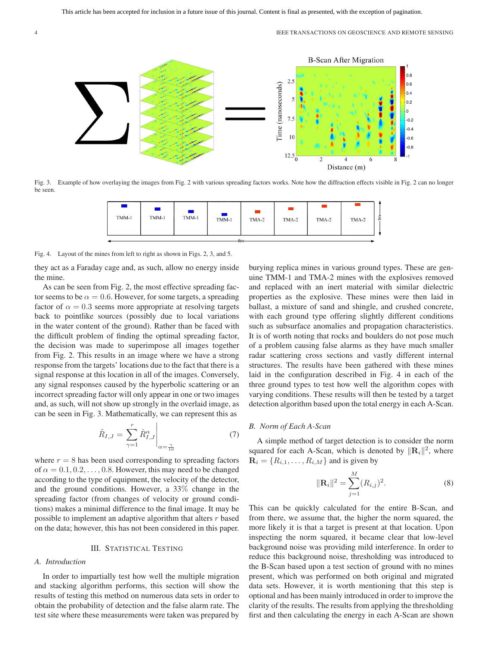

Fig. 3. Example of how overlaying the images from Fig. 2 with various spreading factors works. Note how the diffraction effects visible in Fig. 2 can no longer be seen.



Fig. 4. Layout of the mines from left to right as shown in Figs. 2, 3, and 5.

they act as a Faraday cage and, as such, allow no energy inside the mine.

As can be seen from Fig. 2, the most effective spreading factor seems to be  $\alpha = 0.6$ . However, for some targets, a spreading factor of  $\alpha = 0.3$  seems more appropriate at resolving targets back to pointlike sources (possibly due to local variations in the water content of the ground). Rather than be faced with the difficult problem of finding the optimal spreading factor, the decision was made to superimpose all images together from Fig. 2. This results in an image where we have a strong response from the targets' locations due to the fact that there is a signal response at this location in all of the images. Conversely, any signal responses caused by the hyperbolic scattering or an incorrect spreading factor will only appear in one or two images and, as such, will not show up strongly in the overlaid image, as can be seen in Fig. 3. Mathematically, we can represent this as

$$
\tilde{R}_{I,J} = \sum_{\gamma=1}^{r} \hat{R}_{I,J}^{\alpha} \Big|_{\alpha = \frac{\gamma}{10}} \tag{7}
$$

where  $r = 8$  has been used corresponding to spreading factors of  $\alpha = 0.1, 0.2, \ldots, 0.8$ . However, this may need to be changed according to the type of equipment, the velocity of the detector, and the ground conditions. However, a 33% change in the spreading factor (from changes of velocity or ground conditions) makes a minimal difference to the final image. It may be possible to implement an adaptive algorithm that alters  $r$  based on the data; however, this has not been considered in this paper.

# III. STATISTICAL TESTING

#### *A. Introduction*

In order to impartially test how well the multiple migration and stacking algorithm performs, this section will show the results of testing this method on numerous data sets in order to obtain the probability of detection and the false alarm rate. The test site where these measurements were taken was prepared by burying replica mines in various ground types. These are genuine TMM-1 and TMA-2 mines with the explosives removed and replaced with an inert material with similar dielectric properties as the explosive. These mines were then laid in ballast, a mixture of sand and shingle, and crushed concrete, with each ground type offering slightly different conditions such as subsurface anomalies and propagation characteristics. It is of worth noting that rocks and boulders do not pose much of a problem causing false alarms as they have much smaller radar scattering cross sections and vastly different internal structures. The results have been gathered with these mines laid in the configuration described in Fig. 4 in each of the three ground types to test how well the algorithm copes with varying conditions. These results will then be tested by a target detection algorithm based upon the total energy in each A-Scan.

## *B. Norm of Each A-Scan*

A simple method of target detection is to consider the norm squared for each A-Scan, which is denoted by  $\|\mathbf{R}_i\|^2$ , where  $\mathbf{R}_i = \{R_{i,1}, \dots, R_{i,M}\}\$ and is given by

$$
\|\mathbf{R}_{i}\|^{2} = \sum_{j=1}^{M} (R_{i,j})^{2}.
$$
 (8)

This can be quickly calculated for the entire B-Scan, and from there, we assume that, the higher the norm squared, the more likely it is that a target is present at that location. Upon inspecting the norm squared, it became clear that low-level background noise was providing mild interference. In order to reduce this background noise, thresholding was introduced to the B-Scan based upon a test section of ground with no mines present, which was performed on both original and migrated data sets. However, it is worth mentioning that this step is optional and has been mainly introduced in order to improve the clarity of the results. The results from applying the thresholding first and then calculating the energy in each A-Scan are shown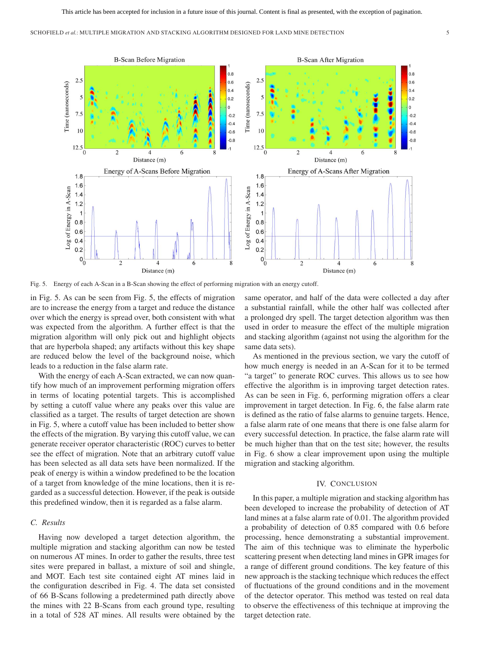

Fig. 5. Energy of each A-Scan in a B-Scan showing the effect of performing migration with an energy cutoff.

in Fig. 5. As can be seen from Fig. 5, the effects of migration are to increase the energy from a target and reduce the distance over which the energy is spread over, both consistent with what was expected from the algorithm. A further effect is that the migration algorithm will only pick out and highlight objects that are hyperbola shaped; any artifacts without this key shape are reduced below the level of the background noise, which leads to a reduction in the false alarm rate.

With the energy of each A-Scan extracted, we can now quantify how much of an improvement performing migration offers in terms of locating potential targets. This is accomplished by setting a cutoff value where any peaks over this value are classified as a target. The results of target detection are shown in Fig. 5, where a cutoff value has been included to better show the effects of the migration. By varying this cutoff value, we can generate receiver operator characteristic (ROC) curves to better see the effect of migration. Note that an arbitrary cutoff value has been selected as all data sets have been normalized. If the peak of energy is within a window predefined to be the location of a target from knowledge of the mine locations, then it is regarded as a successful detection. However, if the peak is outside this predefined window, then it is regarded as a false alarm.

# *C. Results*

Having now developed a target detection algorithm, the multiple migration and stacking algorithm can now be tested on numerous AT mines. In order to gather the results, three test sites were prepared in ballast, a mixture of soil and shingle, and MOT. Each test site contained eight AT mines laid in the configuration described in Fig. 4. The data set consisted of 66 B-Scans following a predetermined path directly above the mines with 22 B-Scans from each ground type, resulting in a total of 528 AT mines. All results were obtained by the

same operator, and half of the data were collected a day after a substantial rainfall, while the other half was collected after a prolonged dry spell. The target detection algorithm was then used in order to measure the effect of the multiple migration and stacking algorithm (against not using the algorithm for the same data sets).

As mentioned in the previous section, we vary the cutoff of how much energy is needed in an A-Scan for it to be termed "a target" to generate ROC curves. This allows us to see how effective the algorithm is in improving target detection rates. As can be seen in Fig. 6, performing migration offers a clear improvement in target detection. In Fig. 6, the false alarm rate is defined as the ratio of false alarms to genuine targets. Hence, a false alarm rate of one means that there is one false alarm for every successful detection. In practice, the false alarm rate will be much higher than that on the test site; however, the results in Fig. 6 show a clear improvement upon using the multiple migration and stacking algorithm.

## IV. CONCLUSION

In this paper, a multiple migration and stacking algorithm has been developed to increase the probability of detection of AT land mines at a false alarm rate of 0.01. The algorithm provided a probability of detection of 0.85 compared with 0.6 before processing, hence demonstrating a substantial improvement. The aim of this technique was to eliminate the hyperbolic scattering present when detecting land mines in GPR images for a range of different ground conditions. The key feature of this new approach is the stacking technique which reduces the effect of fluctuations of the ground conditions and in the movement of the detector operator. This method was tested on real data to observe the effectiveness of this technique at improving the target detection rate.